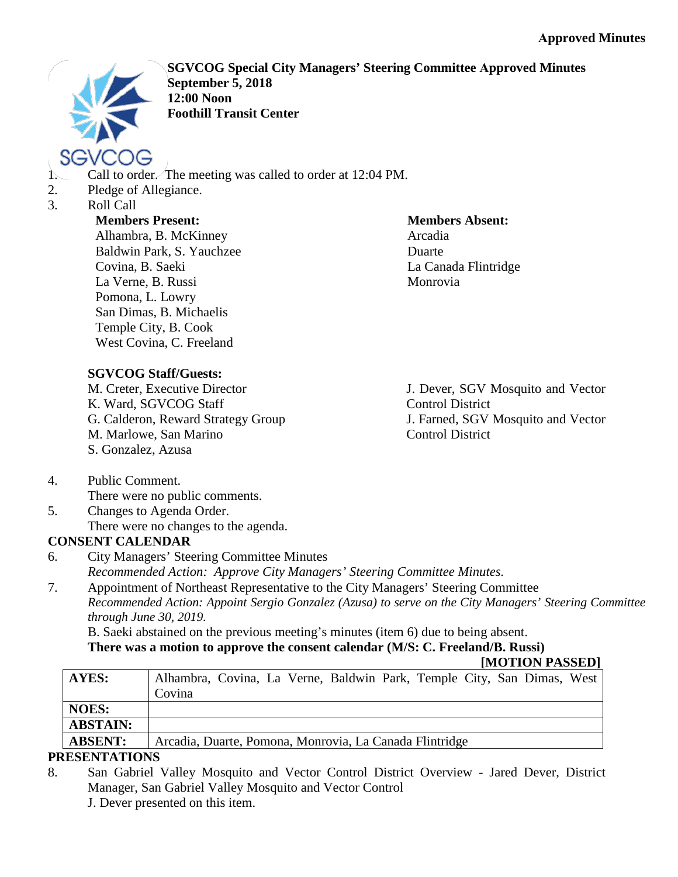

**SGVCOG Special City Managers' Steering Committee Approved Minutes September 5, 2018 12:00 Noon Foothill Transit Center**

- 1. Call to order. The meeting was called to order at 12:04 PM.
- 2. Pledge of Allegiance.
- 3. Roll Call

### **Members Present:**

Alhambra, B. McKinney Baldwin Park, S. Yauchzee Covina, B. Saeki La Verne, B. Russi Pomona, L. Lowry San Dimas, B. Michaelis Temple City, B. Cook West Covina, C. Freeland

#### **Members Absent:** Arcadia Duarte La Canada Flintridge Monrovia

**SGVCOG Staff/Guests:**

M. Creter, Executive Director K. Ward, SGVCOG Staff G. Calderon, Reward Strategy Group M. Marlowe, San Marino S. Gonzalez, Azusa

J. Dever, SGV Mosquito and Vector Control District J. Farned, SGV Mosquito and Vector Control District

- 4. Public Comment. There were no public comments.
- 5. Changes to Agenda Order. There were no changes to the agenda.

# **CONSENT CALENDAR**

- 6. City Managers' Steering Committee Minutes *Recommended Action: Approve City Managers' Steering Committee Minutes.*
- 7. Appointment of Northeast Representative to the City Managers' Steering Committee *Recommended Action: Appoint Sergio Gonzalez (Azusa) to serve on the City Managers' Steering Committee through June 30, 2019.*

B. Saeki abstained on the previous meeting's minutes (item 6) due to being absent.

# **There was a motion to approve the consent calendar (M/S: C. Freeland/B. Russi)**

#### **[MOTION PASSED]**

| AYES:           | Alhambra, Covina, La Verne, Baldwin Park, Temple City, San Dimas, West |
|-----------------|------------------------------------------------------------------------|
|                 | Covina                                                                 |
| <b>NOES:</b>    |                                                                        |
| <b>ABSTAIN:</b> |                                                                        |
| <b>ABSENT:</b>  | Arcadia, Duarte, Pomona, Monrovia, La Canada Flintridge                |
|                 |                                                                        |

# **PRESENTATIONS**

8. San Gabriel Valley Mosquito and Vector Control District Overview - Jared Dever, District Manager, San Gabriel Valley Mosquito and Vector Control

J. Dever presented on this item.